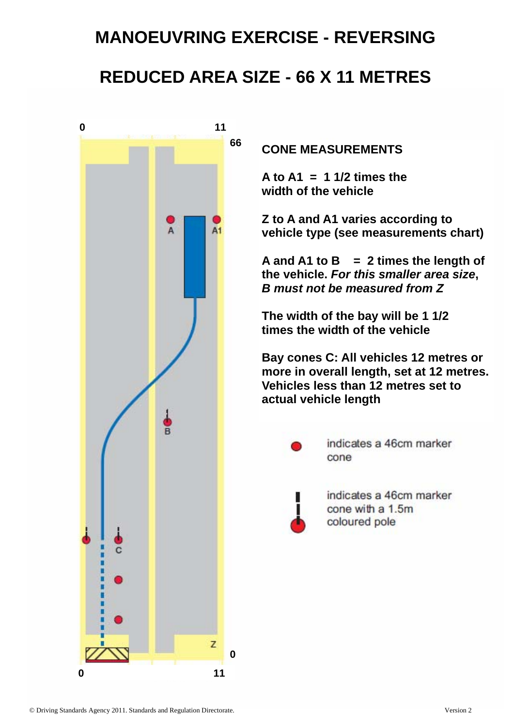# **MANOEUVRING EXERCISE - REVERSING**

## **REDUCED AREA SIZE - 66 X 11 METRES**



**CONE MEASUREMENTS** 

**A to A1 = 1 1/2 times the width of the vehicle** 

**Z to A and A1 varies according to vehicle type (see measurements chart)** 

**A and A1 to B = 2 times the length of the vehicle.** *For this smaller area size***,**  *B must not be measured from Z* 

**The width of the bay will be 1 1/2 times the width of the vehicle** 

**Bay cones C: All vehicles 12 metres or more in overall length, set at 12 metres. Vehicles less than 12 metres set to actual vehicle length** 



indicates a 46cm marker cone



indicates a 46cm marker cone with a 1.5m coloured pole